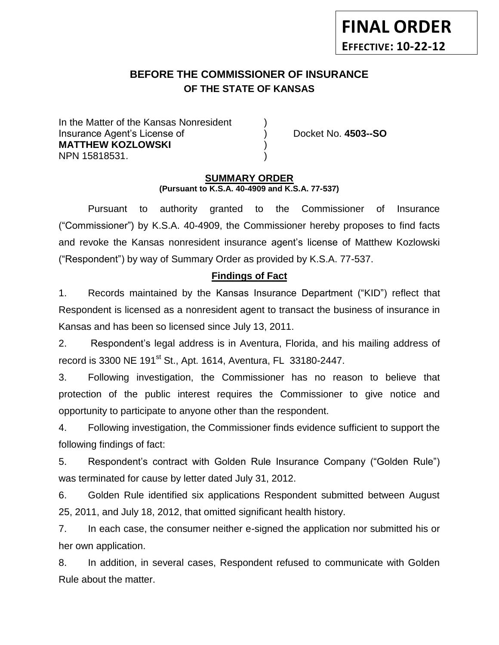# **BEFORE THE COMMISSIONER OF INSURANCE** *-12***OF THE STATE OF KANSAS**

In the Matter of the Kansas Nonresident Insurance Agent's License of ) Docket No. **4503--SO MATTHEW KOZLOWSKI** ) NPN 15818531. )

**FINAL ORDER**

**EFFECTIVE: 10-22-12**

### **SUMMARY ORDER (Pursuant to K.S.A. 40-4909 and K.S.A. 77-537)**

Pursuant to authority granted to the Commissioner of Insurance ("Commissioner") by K.S.A. 40-4909, the Commissioner hereby proposes to find facts and revoke the Kansas nonresident insurance agent's license of Matthew Kozlowski ("Respondent") by way of Summary Order as provided by K.S.A. 77-537.

### **Findings of Fact**

1. Records maintained by the Kansas Insurance Department ("KID") reflect that Respondent is licensed as a nonresident agent to transact the business of insurance in Kansas and has been so licensed since July 13, 2011.

2. Respondent's legal address is in Aventura, Florida, and his mailing address of record is 3300 NE 191st St., Apt. 1614, Aventura, FL 33180-2447.

3. Following investigation, the Commissioner has no reason to believe that protection of the public interest requires the Commissioner to give notice and opportunity to participate to anyone other than the respondent.

4. Following investigation, the Commissioner finds evidence sufficient to support the following findings of fact:

5. Respondent's contract with Golden Rule Insurance Company ("Golden Rule") was terminated for cause by letter dated July 31, 2012.

6. Golden Rule identified six applications Respondent submitted between August 25, 2011, and July 18, 2012, that omitted significant health history.

7. In each case, the consumer neither e-signed the application nor submitted his or her own application.

8. In addition, in several cases, Respondent refused to communicate with Golden Rule about the matter.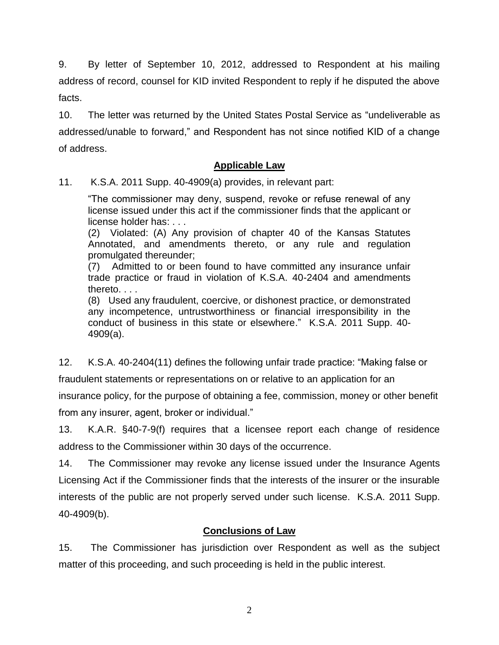9. By letter of September 10, 2012, addressed to Respondent at his mailing address of record, counsel for KID invited Respondent to reply if he disputed the above facts.

10. The letter was returned by the United States Postal Service as "undeliverable as addressed/unable to forward," and Respondent has not since notified KID of a change of address.

## **Applicable Law**

11. K.S.A. 2011 Supp. 40-4909(a) provides, in relevant part:

"The commissioner may deny, suspend, revoke or refuse renewal of any license issued under this act if the commissioner finds that the applicant or license holder has: . . .

(2) Violated: (A) Any provision of chapter 40 of the Kansas Statutes Annotated, and amendments thereto, or any rule and regulation promulgated thereunder;

(7) Admitted to or been found to have committed any insurance unfair trade practice or fraud in violation of K.S.A. 40-2404 and amendments thereto. . . .

(8) Used any fraudulent, coercive, or dishonest practice, or demonstrated any incompetence, untrustworthiness or financial irresponsibility in the conduct of business in this state or elsewhere." K.S.A. 2011 Supp. 40- 4909(a).

12. K.S.A. 40-2404(11) defines the following unfair trade practice: "Making false or

fraudulent statements or representations on or relative to an application for an

insurance policy, for the purpose of obtaining a fee, commission, money or other benefit from any insurer, agent, broker or individual."

13. K.A.R. §40-7-9(f) requires that a licensee report each change of residence address to the Commissioner within 30 days of the occurrence.

14. The Commissioner may revoke any license issued under the Insurance Agents Licensing Act if the Commissioner finds that the interests of the insurer or the insurable interests of the public are not properly served under such license. K.S.A. 2011 Supp. 40-4909(b).

# **Conclusions of Law**

15. The Commissioner has jurisdiction over Respondent as well as the subject matter of this proceeding, and such proceeding is held in the public interest.

2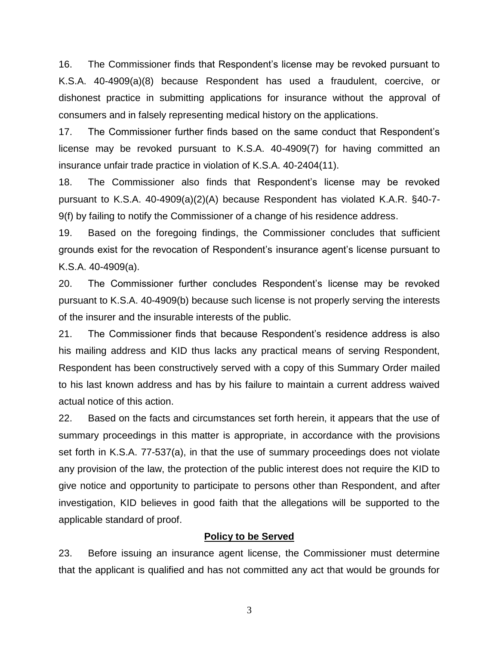16. The Commissioner finds that Respondent's license may be revoked pursuant to K.S.A. 40-4909(a)(8) because Respondent has used a fraudulent, coercive, or dishonest practice in submitting applications for insurance without the approval of consumers and in falsely representing medical history on the applications.

17. The Commissioner further finds based on the same conduct that Respondent's license may be revoked pursuant to K.S.A. 40-4909(7) for having committed an insurance unfair trade practice in violation of K.S.A. 40-2404(11).

18. The Commissioner also finds that Respondent's license may be revoked pursuant to K.S.A. 40-4909(a)(2)(A) because Respondent has violated K.A.R. §40-7- 9(f) by failing to notify the Commissioner of a change of his residence address.

19. Based on the foregoing findings, the Commissioner concludes that sufficient grounds exist for the revocation of Respondent's insurance agent's license pursuant to K.S.A. 40-4909(a).

20. The Commissioner further concludes Respondent's license may be revoked pursuant to K.S.A. 40-4909(b) because such license is not properly serving the interests of the insurer and the insurable interests of the public.

21. The Commissioner finds that because Respondent's residence address is also his mailing address and KID thus lacks any practical means of serving Respondent, Respondent has been constructively served with a copy of this Summary Order mailed to his last known address and has by his failure to maintain a current address waived actual notice of this action.

22. Based on the facts and circumstances set forth herein, it appears that the use of summary proceedings in this matter is appropriate, in accordance with the provisions set forth in K.S.A. 77-537(a), in that the use of summary proceedings does not violate any provision of the law, the protection of the public interest does not require the KID to give notice and opportunity to participate to persons other than Respondent, and after investigation, KID believes in good faith that the allegations will be supported to the applicable standard of proof.

### **Policy to be Served**

23. Before issuing an insurance agent license, the Commissioner must determine that the applicant is qualified and has not committed any act that would be grounds for

3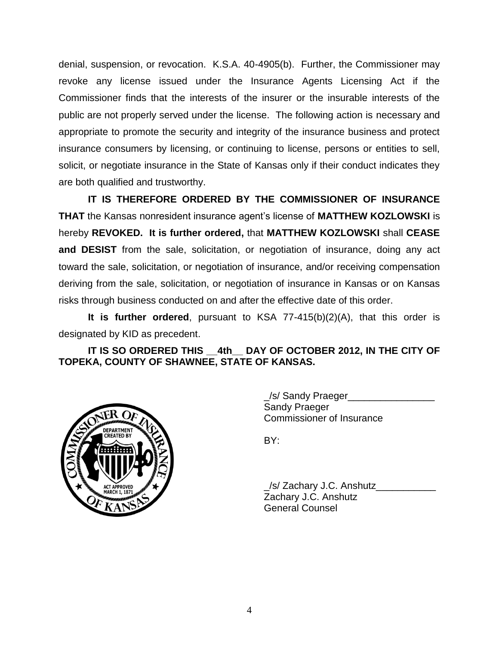denial, suspension, or revocation. K.S.A. 40-4905(b). Further, the Commissioner may revoke any license issued under the Insurance Agents Licensing Act if the Commissioner finds that the interests of the insurer or the insurable interests of the public are not properly served under the license. The following action is necessary and appropriate to promote the security and integrity of the insurance business and protect insurance consumers by licensing, or continuing to license, persons or entities to sell, solicit, or negotiate insurance in the State of Kansas only if their conduct indicates they are both qualified and trustworthy.

**IT IS THEREFORE ORDERED BY THE COMMISSIONER OF INSURANCE THAT** the Kansas nonresident insurance agent's license of **MATTHEW KOZLOWSKI** is hereby **REVOKED. It is further ordered,** that **MATTHEW KOZLOWSKI** shall **CEASE and DESIST** from the sale, solicitation, or negotiation of insurance, doing any act toward the sale, solicitation, or negotiation of insurance, and/or receiving compensation deriving from the sale, solicitation, or negotiation of insurance in Kansas or on Kansas risks through business conducted on and after the effective date of this order.

**It is further ordered**, pursuant to KSA 77-415(b)(2)(A), that this order is designated by KID as precedent.

**IT IS SO ORDERED THIS \_\_4th\_\_ DAY OF OCTOBER 2012, IN THE CITY OF TOPEKA, COUNTY OF SHAWNEE, STATE OF KANSAS.**



\_/s/ Sandy Praeger\_\_\_\_\_\_\_\_\_\_\_\_\_\_\_\_ Sandy Praeger Commissioner of Insurance

BY:

\_/s/ Zachary J.C. Anshutz\_\_\_\_\_\_\_\_\_\_\_ Zachary J.C. Anshutz General Counsel